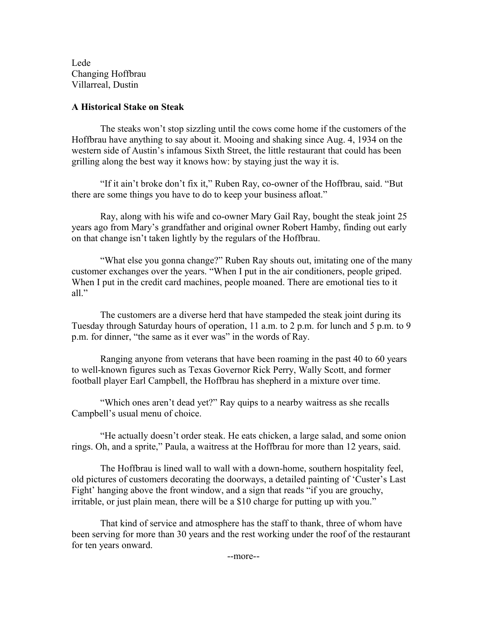Lede Changing Hoffbrau Villarreal, Dustin

## **A Historical Stake on Steak**

The steaks won't stop sizzling until the cows come home if the customers of the Hoffbrau have anything to say about it. Mooing and shaking since Aug. 4, 1934 on the western side of Austin's infamous Sixth Street, the little restaurant that could has been grilling along the best way it knows how: by staying just the way it is.

"If it ain't broke don't fix it," Ruben Ray, co-owner of the Hoffbrau, said. "But there are some things you have to do to keep your business afloat."

Ray, along with his wife and co-owner Mary Gail Ray, bought the steak joint 25 years ago from Mary's grandfather and original owner Robert Hamby, finding out early on that change isn't taken lightly by the regulars of the Hoffbrau.

"What else you gonna change?" Ruben Ray shouts out, imitating one of the many customer exchanges over the years. "When I put in the air conditioners, people griped. When I put in the credit card machines, people moaned. There are emotional ties to it all."

The customers are a diverse herd that have stampeded the steak joint during its Tuesday through Saturday hours of operation, 11 a.m. to 2 p.m. for lunch and 5 p.m. to 9 p.m. for dinner, "the same as it ever was" in the words of Ray.

Ranging anyone from veterans that have been roaming in the past 40 to 60 years to well-known figures such as Texas Governor Rick Perry, Wally Scott, and former football player Earl Campbell, the Hoffbrau has shepherd in a mixture over time.

"Which ones aren't dead yet?" Ray quips to a nearby waitress as she recalls Campbell's usual menu of choice.

"He actually doesn't order steak. He eats chicken, a large salad, and some onion rings. Oh, and a sprite," Paula, a waitress at the Hoffbrau for more than 12 years, said.

The Hoffbrau is lined wall to wall with a down-home, southern hospitality feel, old pictures of customers decorating the doorways, a detailed painting of 'Custer's Last Fight' hanging above the front window, and a sign that reads "if you are grouchy, irritable, or just plain mean, there will be a \$10 charge for putting up with you."

That kind of service and atmosphere has the staff to thank, three of whom have been serving for more than 30 years and the rest working under the roof of the restaurant for ten years onward.

--more--